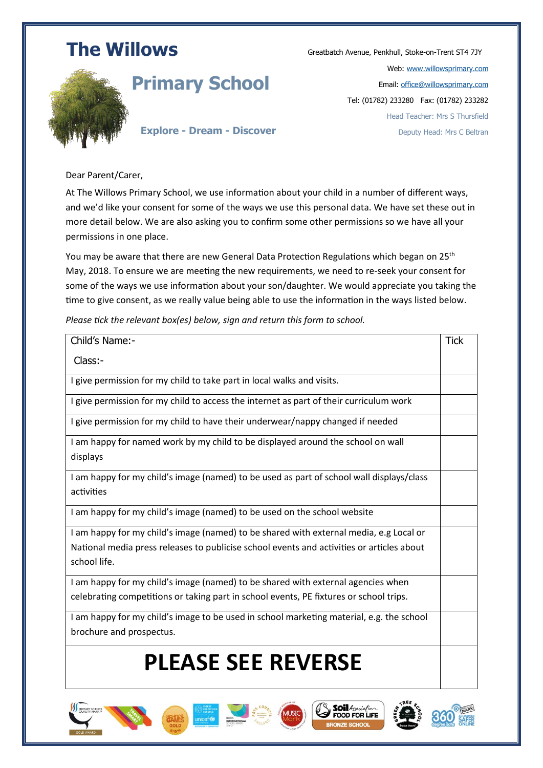## **The Willows Greatbatch Avenue, Penkhull, Stoke-on-Trent ST4 7JY**



### **Primary School**

Web: [www.willowsprimary.com](http://www.willowsprimary.com/) Email[: office@willowsprimary.com](mailto:office@willowsprimary.com) Tel: (01782) 233280 Fax: (01782) 233282 Head Teacher: Mrs S Thursfield Deputy Head: Mrs C Beltran

#### **Explore - Dream - Discover**

Dear Parent/Carer,

At The Willows Primary School, we use information about your child in a number of different ways, and we'd like your consent for some of the ways we use this personal data. We have set these out in more detail below. We are also asking you to confirm some other permissions so we have all your permissions in one place.

You may be aware that there are new General Data Protection Regulations which began on 25<sup>th</sup> May, 2018. To ensure we are meeting the new requirements, we need to re-seek your consent for some of the ways we use information about your son/daughter. We would appreciate you taking the time to give consent, as we really value being able to use the information in the ways listed below.

*Please tick the relevant box(es) below, sign and return this form to school.*

| Child's Name:-                                                                            | <b>Tick</b> |
|-------------------------------------------------------------------------------------------|-------------|
| Class:-                                                                                   |             |
| I give permission for my child to take part in local walks and visits.                    |             |
| I give permission for my child to access the internet as part of their curriculum work    |             |
| I give permission for my child to have their underwear/nappy changed if needed            |             |
| I am happy for named work by my child to be displayed around the school on wall           |             |
| displays                                                                                  |             |
| I am happy for my child's image (named) to be used as part of school wall displays/class  |             |
| activities                                                                                |             |
| I am happy for my child's image (named) to be used on the school website                  |             |
| I am happy for my child's image (named) to be shared with external media, e.g Local or    |             |
| National media press releases to publicise school events and activities or articles about |             |
| school life.                                                                              |             |
| I am happy for my child's image (named) to be shared with external agencies when          |             |
| celebrating competitions or taking part in school events, PE fixtures or school trips.    |             |
| I am happy for my child's image to be used in school marketing material, e.g. the school  |             |
| brochure and prospectus.                                                                  |             |
| <b>PLEASE SEE REVERSE</b>                                                                 |             |
|                                                                                           |             |

Soil 4 FOOD FOR LIFE